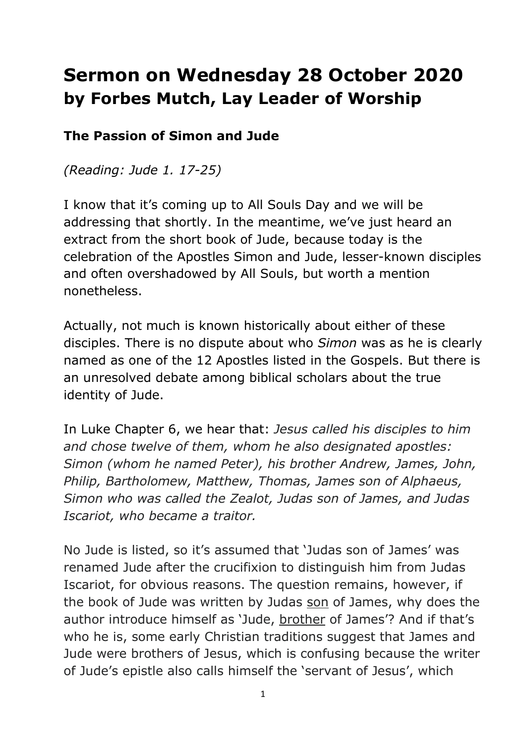## **Sermon on Wednesday 28 October 2020 by Forbes Mutch, Lay Leader of Worship**

## **The Passion of Simon and Jude**

*(Reading: Jude 1. 17-25)*

I know that it's coming up to All Souls Day and we will be addressing that shortly. In the meantime, we've just heard an extract from the short book of Jude, because today is the celebration of the Apostles Simon and Jude, lesser-known disciples and often overshadowed by All Souls, but worth a mention nonetheless.

Actually, not much is known historically about either of these disciples. There is no dispute about who *Simon* was as he is clearly named as one of the 12 Apostles listed in the Gospels. But there is an unresolved debate among biblical scholars about the true identity of Jude.

In Luke Chapter 6, we hear that: *Jesus called his disciples to him and chose twelve of them, whom he also designated apostles: Simon (whom he named Peter), his brother Andrew, James, John, Philip, Bartholomew, Matthew, Thomas, James son of Alphaeus, Simon who was called the Zealot, Judas son of James, and Judas Iscariot, who became a traitor.*

No Jude is listed, so it's assumed that 'Judas son of James' was renamed Jude after the crucifixion to distinguish him from Judas Iscariot, for obvious reasons. The question remains, however, if the book of Jude was written by Judas son of James, why does the author introduce himself as 'Jude, brother of James'? And if that's who he is, some early Christian traditions suggest that James and Jude were brothers of Jesus, which is confusing because the writer of Jude's epistle also calls himself the 'servant of Jesus', which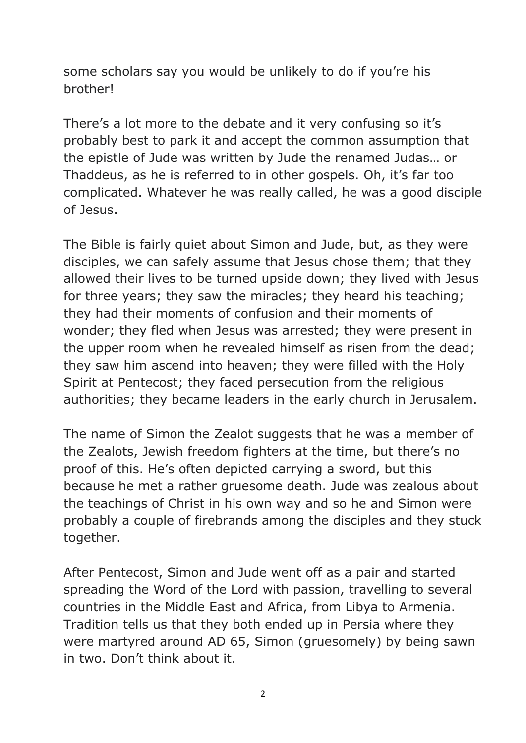some scholars say you would be unlikely to do if you're his brother!

There's a lot more to the debate and it very confusing so it's probably best to park it and accept the common assumption that the epistle of Jude was written by Jude the renamed Judas… or Thaddeus, as he is referred to in other gospels. Oh, it's far too complicated. Whatever he was really called, he was a good disciple of Jesus.

The Bible is fairly quiet about Simon and Jude, but, as they were disciples, we can safely assume that Jesus chose them; that they allowed their lives to be turned upside down; they lived with Jesus for three years; they saw the miracles; they heard his teaching; they had their moments of confusion and their moments of wonder; they fled when Jesus was arrested; they were present in the upper room when he revealed himself as risen from the dead; they saw him ascend into heaven; they were filled with the Holy Spirit at Pentecost; they faced persecution from the religious authorities; they became leaders in the early church in Jerusalem.

The name of Simon the Zealot suggests that he was a member of the Zealots, Jewish freedom fighters at the time, but there's no proof of this. He's often depicted carrying a sword, but this because he met a rather gruesome death. Jude was zealous about the teachings of Christ in his own way and so he and Simon were probably a couple of firebrands among the disciples and they stuck together.

After Pentecost, Simon and Jude went off as a pair and started spreading the Word of the Lord with passion, travelling to several countries in the Middle East and Africa, from Libya to Armenia. Tradition tells us that they both ended up in Persia where they were martyred around AD 65, Simon (gruesomely) by being sawn in two. Don't think about it.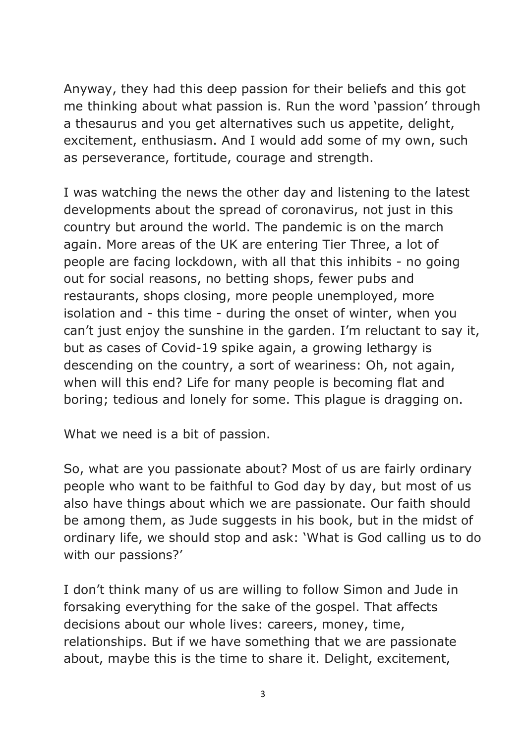Anyway, they had this deep passion for their beliefs and this got me thinking about what passion is. Run the word 'passion' through a thesaurus and you get alternatives such us appetite, delight, excitement, enthusiasm. And I would add some of my own, such as perseverance, fortitude, courage and strength.

I was watching the news the other day and listening to the latest developments about the spread of coronavirus, not just in this country but around the world. The pandemic is on the march again. More areas of the UK are entering Tier Three, a lot of people are facing lockdown, with all that this inhibits - no going out for social reasons, no betting shops, fewer pubs and restaurants, shops closing, more people unemployed, more isolation and - this time - during the onset of winter, when you can't just enjoy the sunshine in the garden. I'm reluctant to say it, but as cases of Covid-19 spike again, a growing lethargy is descending on the country, a sort of weariness: Oh, not again, when will this end? Life for many people is becoming flat and boring; tedious and lonely for some. This plague is dragging on.

What we need is a bit of passion.

So, what are you passionate about? Most of us are fairly ordinary people who want to be faithful to God day by day, but most of us also have things about which we are passionate. Our faith should be among them, as Jude suggests in his book, but in the midst of ordinary life, we should stop and ask: 'What is God calling us to do with our passions?'

I don't think many of us are willing to follow Simon and Jude in forsaking everything for the sake of the gospel. That affects decisions about our whole lives: careers, money, time, relationships. But if we have something that we are passionate about, maybe this is the time to share it. Delight, excitement,